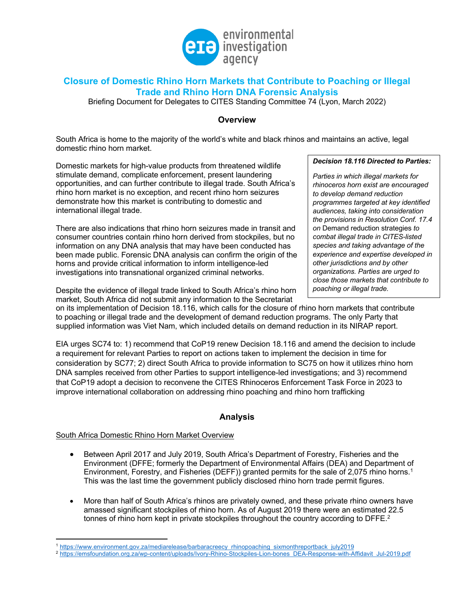

# **Closure of Domestic Rhino Horn Markets that Contribute to Poaching or Illegal Trade and Rhino Horn DNA Forensic Analysis**

Briefing Document for Delegates to CITES Standing Committee 74 (Lyon, March 2022)

## **Overview**

South Africa is home to the majority of the world's white and black rhinos and maintains an active, legal domestic rhino horn market.

Domestic markets for high-value products from threatened wildlife stimulate demand, complicate enforcement, present laundering opportunities, and can further contribute to illegal trade. South Africa's rhino horn market is no exception, and recent rhino horn seizures demonstrate how this market is contributing to domestic and international illegal trade.

There are also indications that rhino horn seizures made in transit and consumer countries contain rhino horn derived from stockpiles, but no information on any DNA analysis that may have been conducted has been made public. Forensic DNA analysis can confirm the origin of the horns and provide critical information to inform intelligence-led investigations into transnational organized criminal networks.

Despite the evidence of illegal trade linked to South Africa's rhino horn market, South Africa did not submit any information to the Secretariat

*Decision 18.116 Directed to Parties:*

*Parties in which illegal markets for rhinoceros horn exist are encouraged to develop demand reduction programmes targeted at key identified audiences, taking into consideration the provisions in Resolution Conf. 17.4 on* Demand reduction strategies *to combat illegal trade in CITES-listed species and taking advantage of the experience and expertise developed in other jurisdictions and by other organizations. Parties are urged to close those markets that contribute to poaching or illegal trade.*

on its implementation of Decision 18.116, which calls for the closure of rhino horn markets that contribute to poaching or illegal trade and the development of demand reduction programs. The only Party that supplied information was Viet Nam, which included details on demand reduction in its NIRAP report.

EIA urges SC74 to: 1) recommend that CoP19 renew Decision 18.116 and amend the decision to include a requirement for relevant Parties to report on actions taken to implement the decision in time for consideration by SC77; 2) direct South Africa to provide information to SC75 on how it utilizes rhino horn DNA samples received from other Parties to support intelligence-led investigations; and 3) recommend that CoP19 adopt a decision to reconvene the CITES Rhinoceros Enforcement Task Force in 2023 to improve international collaboration on addressing rhino poaching and rhino horn trafficking

## **Analysis**

## South Africa Domestic Rhino Horn Market Overview

- Between April 2017 and July 2019, South Africa's Department of Forestry, Fisheries and the Environment (DFFE; formerly the Department of Environmental Affairs (DEA) and Department of Environment, Forestry, and Fisheries (DEFF)) granted permits for the sale of 2,075 rhino horns.1 This was the last time the government publicly disclosed rhino horn trade permit figures.
- More than half of South Africa's rhinos are privately owned, and these private rhino owners have amassed significant stockpiles of rhino horn. As of August 2019 there were an estimated 22.5 tonnes of rhino horn kept in private stockpiles throughout the country according to DFFE.<sup>2</sup>

<sup>1</sup> https://www.environment.gov.za/mediarelease/barbaracreecy\_rhinopoaching\_sixmonthreportback\_july2019

<sup>&</sup>lt;sup>2</sup> https://emsfoundation.org.za/wp-content/uploads/Ivory-Rhino-Stockpiles-Lion-bones\_DEA-Response-with-Affidavit\_Jul-2019.pdf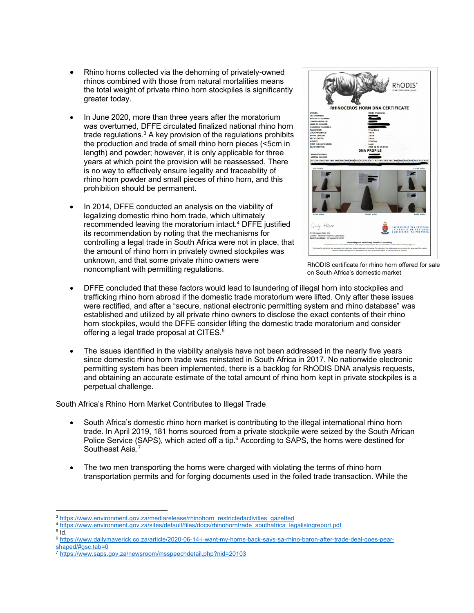- Rhino horns collected via the dehorning of privately-owned rhinos combined with those from natural mortalities means the total weight of private rhino horn stockpiles is significantly greater today.
- In June 2020, more than three years after the moratorium was overturned, DFFE circulated finalized national rhino horn trade regulations. $3$  A key provision of the regulations prohibits the production and trade of small rhino horn pieces (<5cm in length) and powder; however, it is only applicable for three years at which point the provision will be reassessed. There is no way to effectively ensure legality and traceability of rhino horn powder and small pieces of rhino horn, and this prohibition should be permanent.
- In 2014, DFFE conducted an analysis on the viability of legalizing domestic rhino horn trade, which ultimately recommended leaving the moratorium intact.<sup>4</sup> DFFE justified its recommendation by noting that the mechanisms for controlling a legal trade in South Africa were not in place, that the amount of rhino horn in privately owned stockpiles was unknown, and that some private rhino owners were noncompliant with permitting regulations.



RhODIS certificate for rhino horn offered for sale on South Africa's domestic market

- DFFE concluded that these factors would lead to laundering of illegal horn into stockpiles and trafficking rhino horn abroad if the domestic trade moratorium were lifted. Only after these issues were rectified, and after a "secure, national electronic permitting system and rhino database" was established and utilized by all private rhino owners to disclose the exact contents of their rhino horn stockpiles, would the DFFE consider lifting the domestic trade moratorium and consider offering a legal trade proposal at CITES.<sup>5</sup>
- The issues identified in the viability analysis have not been addressed in the nearly five years since domestic rhino horn trade was reinstated in South Africa in 2017. No nationwide electronic permitting system has been implemented, there is a backlog for RhODIS DNA analysis requests, and obtaining an accurate estimate of the total amount of rhino horn kept in private stockpiles is a perpetual challenge.

## South Africa's Rhino Horn Market Contributes to Illegal Trade

- South Africa's domestic rhino horn market is contributing to the illegal international rhino horn trade. In April 2019, 181 horns sourced from a private stockpile were seized by the South African Police Service (SAPS), which acted off a tip.<sup>6</sup> According to SAPS, the horns were destined for Southeast Asia.<sup>7</sup>
- The two men transporting the horns were charged with violating the terms of rhino horn transportation permits and for forging documents used in the foiled trade transaction. While the

<sup>&</sup>lt;sup>3</sup> https://www.environment.gov.za/mediarelease/rhinohorn\_restrictedactivities\_gazetted

<sup>4</sup> https://www.environment.gov.za/sites/default/files/docs/rhinohorntrade\_southafrica\_legalisingreport.pdf

 $5\bar{1}d$ .

<sup>6</sup> https://www.dailymaverick.co.za/article/2020-06-14-i-want-my-horns-back-says-sa-rhino-baron-after-trade-deal-goes-pearshaped/#gsc.tab=0

<sup>7</sup> https://www.saps.gov.za/newsroom/msspeechdetail.php?nid=20103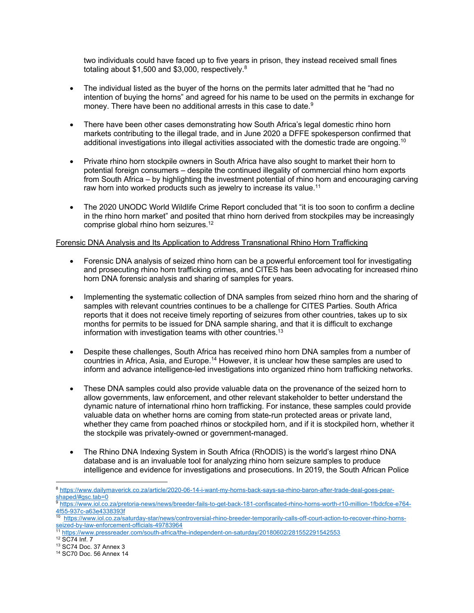two individuals could have faced up to five years in prison, they instead received small fines totaling about \$1,500 and \$3,000, respectively.<sup>8</sup>

- The individual listed as the buyer of the horns on the permits later admitted that he "had no intention of buying the horns" and agreed for his name to be used on the permits in exchange for money. There have been no additional arrests in this case to date.<sup>9</sup>
- There have been other cases demonstrating how South Africa's legal domestic rhino horn markets contributing to the illegal trade, and in June 2020 a DFFE spokesperson confirmed that additional investigations into illegal activities associated with the domestic trade are ongoing.<sup>10</sup>
- Private rhino horn stockpile owners in South Africa have also sought to market their horn to potential foreign consumers – despite the continued illegality of commercial rhino horn exports from South Africa – by highlighting the investment potential of rhino horn and encouraging carving raw horn into worked products such as jewelry to increase its value.<sup>11</sup>
- The 2020 UNODC World Wildlife Crime Report concluded that "it is too soon to confirm a decline in the rhino horn market" and posited that rhino horn derived from stockpiles may be increasingly comprise global rhino horn seizures.<sup>12</sup>

#### Forensic DNA Analysis and Its Application to Address Transnational Rhino Horn Trafficking

- Forensic DNA analysis of seized rhino horn can be a powerful enforcement tool for investigating and prosecuting rhino horn trafficking crimes, and CITES has been advocating for increased rhino horn DNA forensic analysis and sharing of samples for years.
- Implementing the systematic collection of DNA samples from seized rhino horn and the sharing of samples with relevant countries continues to be a challenge for CITES Parties. South Africa reports that it does not receive timely reporting of seizures from other countries, takes up to six months for permits to be issued for DNA sample sharing, and that it is difficult to exchange information with investigation teams with other countries.<sup>13</sup>
- Despite these challenges, South Africa has received rhino horn DNA samples from a number of countries in Africa, Asia, and Europe.<sup>14</sup> However, it is unclear how these samples are used to inform and advance intelligence-led investigations into organized rhino horn trafficking networks.
- These DNA samples could also provide valuable data on the provenance of the seized horn to allow governments, law enforcement, and other relevant stakeholder to better understand the dynamic nature of international rhino horn trafficking. For instance, these samples could provide valuable data on whether horns are coming from state-run protected areas or private land, whether they came from poached rhinos or stockpiled horn, and if it is stockpiled horn, whether it the stockpile was privately-owned or government-managed.
- The Rhino DNA Indexing System in South Africa (RhODIS) is the world's largest rhino DNA database and is an invaluable tool for analyzing rhino horn seizure samples to produce intelligence and evidence for investigations and prosecutions. In 2019, the South African Police

<sup>8</sup> https://www.dailymaverick.co.za/article/2020-06-14-i-want-my-horns-back-says-sa-rhino-baron-after-trade-deal-goes-pearshaped/#gsc.tab=0

https://www.iol.co.za/pretoria-news/news/breeder-fails-to-get-back-181-confiscated-rhino-horns-worth-r10-million-1fbdcfce-e764-4f55-937c-a63e4338393f

<sup>10</sup> https://www.iol.co.za/saturday-star/news/controversial-rhino-breeder-temporarily-calls-off-court-action-to-recover-rhino-hornsseized-by-law-enforcement-officials-49783964

https://www.pressreader.com/south-africa/the-independent-on-saturday/20180602/281552291542553

<sup>12</sup> SC74 Inf. 7

<sup>13</sup> SC74 Doc. 37 Annex 3

<sup>14</sup> SC70 Doc. 56 Annex 14